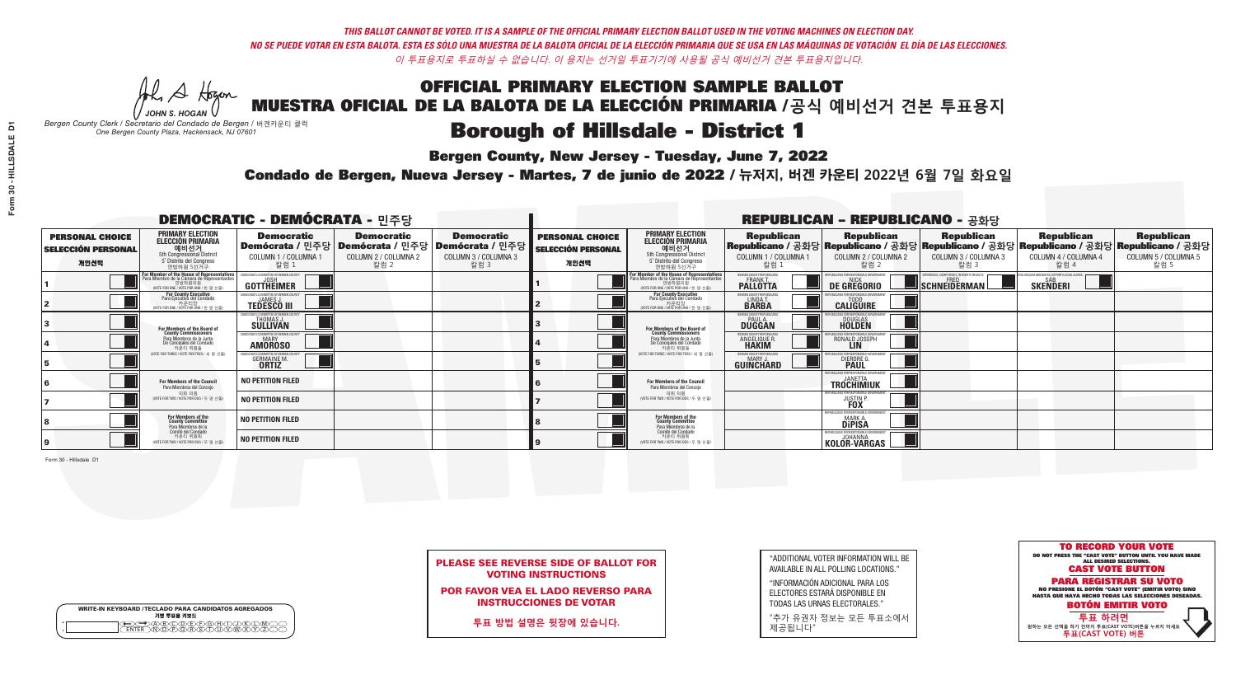A Hogen *JOHN S. HOGAN*

| <b>WRITE-IN KEYBOARD /TECLADO PARA CANDIDATOS AGREGADOS</b><br>기명 투표용 키보드 |  |
|---------------------------------------------------------------------------|--|
| A)B)C)D)E)(F)(G)(H)(1<br><u>ጒ፝፟፟፟</u> ፟፝፟፟፟፝ዀ፝ዀ፝፟ዀ                        |  |

## **Borough of Hillsdale - District 1**

**Bergen County, New Jersey - Tuesday, June 7, 2022** 

*Bergen County Clerk / Secretario del Condado de Bergen /* 버겐카운티 클럭 *One Bergen County Plaza, Hackensack, NJ 07601*

Condado de Bergen, Nueva Jersey - Martes, 7 de junio de 2022 / 뉴저지, 버겐 카운티 2022년 6월 7일 화요일 *One Bergen County Plaza, Hackensack, NJ 07601*



PLEASE SEE REVERSE SIDE OF BALLOT FOR VOTING INSTRUCTIONS

POR FAVOR VEA EL LADO REVERSO PARA INSTRUCCIONES DE VOTAR

**투표 방법 설명은 뒷장에 있습니다.**

"ADDITIONAL VOTER INFORMATION WILL BE AVAILABLE IN ALL POLLING LOCATIONS."

"INFORMACIÓN ADICIONAL PARA LOS ELECTORES ESTARÁ DISPONIBLE EN TODAS LAS URNAS ELECTORALES."

"추가 유권자 정보는 모든 투표소에서 제공됩니다"

| <b>DEMOCRATIC - DEMÓCRATA - 민주당</b>                         |                                                                                                                                               |                                                                   |                                                   |                                                                                                        |                                                             |                                                                                                                                               |                                                            | <b>REPUBLICAN - REPUBLICANO - 공화당</b>                    |                                                                                                                                                |                                                               |                                                   |
|-------------------------------------------------------------|-----------------------------------------------------------------------------------------------------------------------------------------------|-------------------------------------------------------------------|---------------------------------------------------|--------------------------------------------------------------------------------------------------------|-------------------------------------------------------------|-----------------------------------------------------------------------------------------------------------------------------------------------|------------------------------------------------------------|----------------------------------------------------------|------------------------------------------------------------------------------------------------------------------------------------------------|---------------------------------------------------------------|---------------------------------------------------|
| <b>PERSONAL CHOICE</b><br><b>SELECCIÓN PERSONAL</b><br>개인선택 | <b>PRIMARY ELECTION</b><br><b>ELECCIÓN PRIMARIA</b><br>예비선거<br>5th Congressional District<br>5° Distrito del Congreso<br>연방하원 5선거구            | <b>Democratic</b><br>COLUMN 1 / COLUMNA 1<br>칼럼 1                 | <b>Democratic</b><br>COLUMN 2 / COLUMNA 2<br>칼럼 2 | <b>Democratic</b><br>│Demócrata / 민주당│Demócrata / 민주당│Demócrata / 민주당┃<br>COLUMN 3 / COLUMNA 3<br>칼럼 3 | <b>PERSONAL CHOICE</b><br><b>SELECCIÓN PERSONAL</b><br>개인선택 | <b>PRIMARY ELECTION</b><br><b>ELECCIÓN PRIMARIA</b><br>5th Congressional District<br>5° Distrito del Congreso<br>연방하원 5선거구                    | <b>Republican</b><br>COLUMN 1 / COLUMNA 1<br>"칼럼 !         | <b>Republican</b><br>COLUMN 2 / COLUMNA 2<br>칼럼 2        | <b>Republican</b><br>Republicano / 공화당 Republicano / 공화당 Republicano / 공화당 Republicano / 공화당 Republicano / 공화당<br>COLUMN 3 / COLUMNA 3<br>칼럼 3 | <b>Republican</b><br>COLUMN 4 / COLUMNA 4<br>칼럼 4             | <b>Republican</b><br>COLUMN 5 / COLUMNA 5<br>칼럼 5 |
|                                                             | For Member of the House of Representatives<br>Para Miembro de la Cámara de Representantes<br>연방하원의원<br>(VOTE FOR ONE / VOTE POR UNO / 한 명 선출) | GOTTHEIMER                                                        |                                                   |                                                                                                        |                                                             | For Member of the House of Representatives<br>Para Miembro de la Cámara de Representantes<br>연방하원의원<br>(VOTE FOR ONE / VOTE POR UNO / 한 명 선출) | BERGEN COUNTY REPUBLICANS<br>FRANK T.<br><b>PALLOTTA</b>   | DE GREGORIO                                              | SCHNEIDERMAN                                                                                                                                   | ) VACCINE MANDATES, DEPORT ILLEGAL ALIENS.<br><b>SKENDERI</b> |                                                   |
|                                                             | For County Executive<br>Para Ejecutivo del Condado<br>. 카운티장<br>(VOTE FOR ONE / VOTE POR UNO / 한 명 선출)                                        | )EMOCRATIC COMMITTEE OF BERGEN COUNTY<br><b>TEDESCO III</b>       |                                                   |                                                                                                        |                                                             | <b>For County Executive</b><br>Para Ejecutivo del Condado<br>. 카운티장<br>(VOTE FOR ONE / VOTE POR UNO / 한 명 선출)                                 | BERGEN COUNTY REPUBLICAN<br>LINDA T.                       | <b>CALIGUIRE</b>                                         |                                                                                                                                                |                                                               |                                                   |
|                                                             | <b>For Members of the Board of<br/>County Commissioners</b>                                                                                   | MOCRATIC COMMITTEE OF BERGEN COUNTY<br>THOMAS J.                  |                                                   |                                                                                                        |                                                             | For Members of the Board of<br>County Commissioners                                                                                           | ERGEN COUNTY REPUBLICAN<br><b>PAUL A.</b><br><b>DUGGAN</b> | <b>DOUGLAS</b>                                           |                                                                                                                                                |                                                               |                                                   |
|                                                             | Para Miembros de la Junta<br>De Concejales del Condado<br>카운티 위원들                                                                             | <b>CRATIC COMMITTEE OF BERGEN COUNT</b><br>MARY<br><b>AMOROSO</b> |                                                   |                                                                                                        |                                                             | Para Miembros de la Junta<br>De Concejales del Condado<br>카운티 위원들                                                                             | RGEN COUNTY REPUBLICAN<br><b>ANGELIQUE R</b>               | RONALD JOSEPH                                            |                                                                                                                                                |                                                               |                                                   |
|                                                             | NOTE FOR THREE / VOTE POR TRES / 세 명 선출)                                                                                                      | ATIC COMMITTEE OF BERGEN COUN<br><b>GERMAINE M.</b>               |                                                   |                                                                                                        |                                                             | WOTE FOR THREE / VOTE POR TRES / 세 명 선출                                                                                                       | ERGEN COUNTY REPUBLICANS<br>MARY J.<br>GUINCHARD           | DIERDRE G                                                |                                                                                                                                                |                                                               |                                                   |
|                                                             | For Members of the Council<br>Para Miembros del Conceio                                                                                       | NO PETITION FILED                                                 |                                                   |                                                                                                        |                                                             | For Members of the Council<br>Para Miembros del Conceio                                                                                       |                                                            | PUBLICANS FOR RESPONSIBLE GOVERNMEN<br><b>TROCHIMIUK</b> |                                                                                                                                                |                                                               |                                                   |
|                                                             | 의회 의원<br>(VOTE FOR TWO / VOTE POR DOS / 두 명 선출                                                                                                | <b>NO PETITION FILED</b>                                          |                                                   |                                                                                                        |                                                             | 의회 의원<br>(VOTE FOR TWO / VOTE POR DOS / 두 명 선출)                                                                                               |                                                            | FPUBLICANS FOR RESPONSIBLE GOVERNMEN<br><b>JUSTIN</b>    |                                                                                                                                                |                                                               |                                                   |
|                                                             | For Members of the<br>County Committee<br>Para Miembros de la                                                                                 | <b>NO PETITION FILED</b>                                          |                                                   |                                                                                                        |                                                             | For Members of the<br>County Committee<br>Para Miembros de la<br>Comité del Condado                                                           |                                                            | REPUBLICANS FOR RESPONSIBLI<br><b>MARK A.</b><br>Dipisa  |                                                                                                                                                |                                                               |                                                   |
|                                                             | Comité del Condado<br>카운티 위원회<br>NOTE FOR TWO / VOTE POR DOS / 두 명 선출)                                                                        | <b>NO PETITION FILED</b>                                          |                                                   |                                                                                                        |                                                             | 카운티 위원회<br>(VOTE FOR TWO / VOTE POR DOS / 두 명 선출)                                                                                             |                                                            | REPUBLICANS FOR RESPONSIBLE GO<br><b>KOLOR-VARGAS</b>    |                                                                                                                                                |                                                               |                                                   |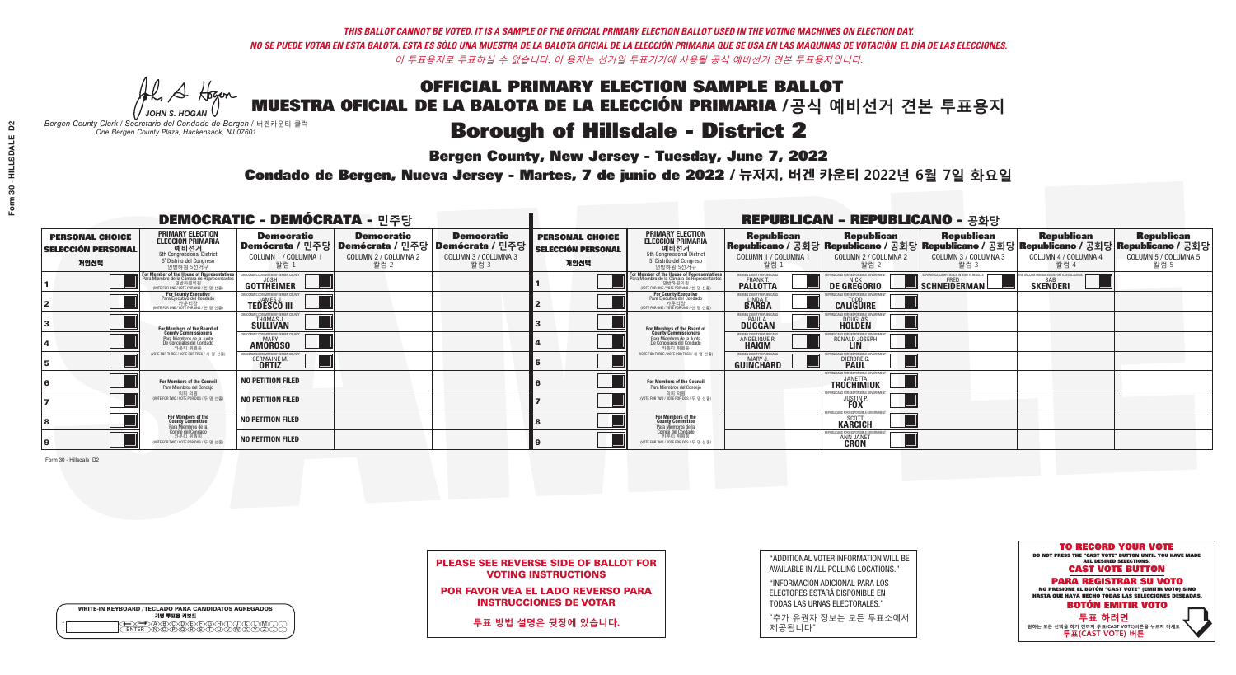A Hogen *JOHN S. HOGAN*

| <b>WRITE-IN KEYBOARD /TECLADO PARA CANDIDATOS AGREGADOS</b><br>기명 투표용 키보드 |  |
|---------------------------------------------------------------------------|--|
| YBYCYDYFYFYBYAY                                                           |  |

# **Borough of Hillsdale - District 2**

**Bergen County, New Jersey - Tuesday, June 7, 2022** 

*Bergen County Clerk / Secretario del Condado de Bergen /* 버겐카운티 클럭 *One Bergen County Plaza, Hackensack, NJ 07601*

Condado de Bergen, Nueva Jersey - Martes, 7 de junio de 2022 / 뉴저지, 버겐 카운티 2022년 6월 7일 화요일 *One Bergen County Plaza, Hackensack, NJ 07601*



|                            | <b>PLEASE SEE REVERSE SIDE OF BALLOT FOR</b> |
|----------------------------|----------------------------------------------|
| <b>VOTING INSTRUCTIONS</b> |                                              |

POR FAVOR VEA EL LADO REVERSO PARA INSTRUCCIONES DE VOTAR

**투표 방법 설명은 뒷장에 있습니다.**

"ADDITIONAL VOTER INFORMATION WILL BE AVAILABLE IN ALL POLLING LOCATIONS."

"INFORMACIÓN ADICIONAL PARA LOS ELECTORES ESTARÁ DISPONIBLE EN TODAS LAS URNAS ELECTORALES."

"추가 유권자 정보는 모든 투표소에서 제공됩니다"

| <b>DEMOCRATIC - DEMÓCRATA - 민주당</b>                         |                                                                                                                                               |                                                                        |                                                   |                                                                                                        |                                                             |                                                                                                                                               |                                                            | <b>REPUBLICAN - REPUBLICANO - 공화당</b>                                                                                                          |                                                   |                                                               |                                                   |
|-------------------------------------------------------------|-----------------------------------------------------------------------------------------------------------------------------------------------|------------------------------------------------------------------------|---------------------------------------------------|--------------------------------------------------------------------------------------------------------|-------------------------------------------------------------|-----------------------------------------------------------------------------------------------------------------------------------------------|------------------------------------------------------------|------------------------------------------------------------------------------------------------------------------------------------------------|---------------------------------------------------|---------------------------------------------------------------|---------------------------------------------------|
| <b>PERSONAL CHOICE</b><br><b>SELECCIÓN PERSONAL</b><br>개인선택 | <b>PRIMARY ELECTION</b><br><b>ELECCIÓN PRIMARIA</b><br>예비선거<br>5th Congressional District<br>5° Distrito del Congreso<br>연방하원 5선거구            | <b>Democratic</b><br>COLUMN 1 / COLUMNA 1<br>칼럼 1                      | <b>Democratic</b><br>COLUMN 2 / COLUMNA 2<br>칼럼 2 | <b>Democratic</b><br>│Demócrata / 민주당│Demócrata / 민주당│Demócrata / 민주당┃<br>COLUMN 3 / COLUMNA 3<br>칼럼 3 | <b>PERSONAL CHOICE</b><br><b>SELECCIÓN PERSONAL</b><br>개인선택 | <b>PRIMARY ELECTION</b><br><b>ELECCIÓN PRIMARIA</b><br><u>. 예비선거</u><br>5th Congressional District<br>5° Distrito del Congreso<br>연방하원 5선거구   | <b>Republican</b><br>COLUMN 1 / COLUMNA 1<br>칼럼 :          | <b>Republican</b><br>Republicano / 공화당 Republicano / 공화당 Republicano / 공화당 Republicano / 공화당 Republicano / 공화당<br>COLUMN 2 / COLUMNA 2<br>칼럼 2 | <b>Republican</b><br>COLUMN 3 / COLUMNA 3<br>칼럼 3 | <b>Republican</b><br>COLUMN 4 / COLUMNA 4<br>칼럼 4             | <b>Republican</b><br>COLUMN 5 / COLUMNA 5<br>칼럼 5 |
|                                                             | For Member of the House of Representatives<br>Para Miembro de la Cámara de Representantes<br>연방하원의원<br>(VOTE FOR ONE / VOTE POR UNO / 한 명 선출) | DEMOCRATIC COMMITTEE OF BERGEN COL<br>GOTTHEIMER                       |                                                   |                                                                                                        |                                                             | For Member of the House of Representatives<br>Para Miembro de la Cámara de Representantes<br>연방하원의원<br>(VOTE FOR ONE / VOTE POR UNO / 한 명 선출) | BERGEN COUNTY REPUBLICANS<br>FRANK T.<br><b>PALLOTTA</b>   | DE GREGORIO                                                                                                                                    | SCHNEIDERMAN                                      | D VACCINE MANDATES, DEPORT ILLEGAL ALIENS.<br><b>SKENDERI</b> |                                                   |
|                                                             | For County Executive<br>Para Ejecutivo del Condado<br>가운티장<br>(VOTE FOR ONE / VOTE POR UNO / 한 명 선출)                                          | FMOCRATIC COMMITTEE OF BERGEN COUNTY<br><b>TEDESCO III</b>             |                                                   |                                                                                                        |                                                             | For County Executive<br>Para Ejecutivo del Condado<br>. 카운티장<br>(VOTE FOR ONE / VOTE POR UNO / 한 명 선출)                                        | BERGEN COUNTY REPUBLICAN<br>LINDA T.                       | <b>CALIGUIRE</b>                                                                                                                               |                                                   |                                                               |                                                   |
|                                                             | For Members of the Board of<br>County Commissioners                                                                                           | MOCRATIC COMMITTEE OF BERGEN COUNTY<br>THOMAS J.                       |                                                   |                                                                                                        |                                                             | For Members of the Board of<br>County Commissioners                                                                                           | ERGEN COUNTY REPUBLICAN<br><b>PAUL A.</b><br><b>DUGGAN</b> | <b>DOUGLAS</b>                                                                                                                                 |                                                   |                                                               |                                                   |
|                                                             | Para Miembros de la Junta<br>De Concejales del Condado<br>카우티 위원들                                                                             | ICRATIC COMMITTEE OF BERGEN COUNTY<br><b>MARY</b><br><b>AMOROSO</b>    |                                                   |                                                                                                        |                                                             | Para Miembros de la Junta<br>De Concejales del Condado<br>카운티 위원들                                                                             | RGEN COUNTY REPUBLICAN:<br><b>ANGELIQUE R<br/>HAKIM</b>    | RONALD JOSEPH                                                                                                                                  |                                                   |                                                               |                                                   |
|                                                             | NOTE FOR THREE / VOTE POR TRES / 세 명 선출)                                                                                                      | )CRATIC COMMITTEE OF BERGEN COUN<br><b>GERMAINE M.</b><br><b>ORTIZ</b> |                                                   |                                                                                                        |                                                             | WOTE FOR THREE / VOTE POR TRES / 세 명 선출                                                                                                       | ERGEN COUNTY REPUBLICANS<br>MARY J.<br>GUIÑCHARD           | FOR RESPONSIBLE GO<br><b>DIERDRE</b>                                                                                                           |                                                   |                                                               |                                                   |
|                                                             | For Members of the Council<br>Para Miembros del Concejo                                                                                       | <b>NO PETITION FILED</b>                                               |                                                   |                                                                                                        |                                                             | For Members of the Council<br>Para Miembros del Conceio                                                                                       |                                                            | PUBLICANS FOR RESPONSIBLE GOVERNMEN<br><b>TROCHIMIUK</b>                                                                                       |                                                   |                                                               |                                                   |
|                                                             | 의회 의원<br>(VOTE FOR TWO / VOTE POR DOS / 두 명 선출                                                                                                | <b>NO PETITION FILED</b>                                               |                                                   |                                                                                                        |                                                             | 의회 의원<br>(VOTE FOR TWO / VOTE POR DOS / 두 명 선출)                                                                                               |                                                            | EPUBLICANS FOR RESPONSIBLE GOVERNMEN<br><b>JUSTIN</b>                                                                                          |                                                   |                                                               |                                                   |
|                                                             | For Members of the<br>County Committee<br>Para Miembros de la<br>Comité del Condado                                                           | <b>NO PETITION FILED</b>                                               |                                                   |                                                                                                        |                                                             | For Members of the<br>County Committee<br>Para Miembros de la<br>Comité del Condado                                                           |                                                            | REPUBLICANS FOR RESPONSIBLE GOY<br><b>KARCICH</b>                                                                                              |                                                   |                                                               |                                                   |
|                                                             | 카운티 위원회<br>(VOTE FOR TWO / VOTE POR DOS / 두 명 선출)                                                                                             | <b>NO PETITION FILED</b>                                               |                                                   |                                                                                                        |                                                             | 카운티 위원회<br>WOTE FOR TWO / VOTE POR DOS / 두 명 선출)                                                                                              |                                                            | PUBLICANS FOR RESPONSIBLE GOV<br>ANN JANET                                                                                                     |                                                   |                                                               |                                                   |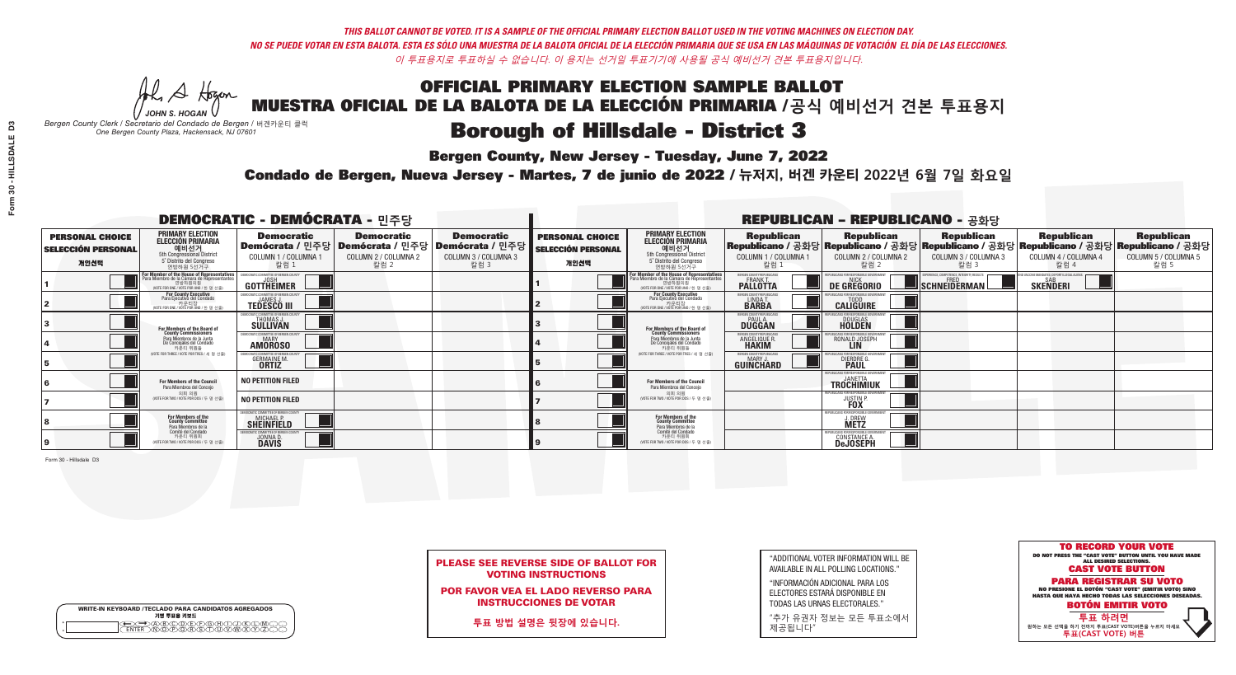A Hogen *JOHN S. HOGAN*

|   | <b>WRITE-IN KEYBOARD /TECLADO PARA CANDIDATOS AGREGADOS</b><br>기명 투표용 키보드 |
|---|---------------------------------------------------------------------------|
| o | .)B)C)DE)F)G)H)                                                           |
| o | <u>እጅአል አል</u>                                                            |

# **Borough of Hillsdale - District 3**

**Bergen County, New Jersey - Tuesday, June 7, 2022** 

*Bergen County Clerk / Secretario del Condado de Bergen /* 버겐카운티 클럭 *One Bergen County Plaza, Hackensack, NJ 07601*



PLEASE SEE REVERSE SIDE OF BALLOT FOR VOTING INSTRUCTIONS

POR FAVOR VEA EL LADO REVERSO PARA INSTRUCCIONES DE VOTAR

**투표 방법 설명은 뒷장에 있습니다.**

| "ADDITIONAL VOTER INFORMATION WILL BE |
|---------------------------------------|
| AVAILABLE IN ALL POLLING LOCATIONS."  |

"INFORMACIÓN ADICIONAL PARA LOS ELECTORES ESTARÁ DISPONIBLE EN TODAS LAS URNAS ELECTORALES."

"추가 유권자 정보는 모든 투표소에서 제공됩니다"

Condado de Bergen, Nueva Jersey - Martes, 7 de junio de 2022 / 뉴저지, 버겐 카운티 2022년 6월 7일 화요일 *One Bergen County Plaza, Hackensack, NJ 07601*

| <b>DEMOCRATIC - DEMÓCRATA - 민주당</b>                         |                                                                                                                                                       |                                                                       |                                                   |                                                                                                        |                                                             |                                                                                                                                              |                                                                | <b>REPUBLICAN - REPUBLICANO - 공화당</b>                                                                                                          |                                                   |                                                              |                                                   |
|-------------------------------------------------------------|-------------------------------------------------------------------------------------------------------------------------------------------------------|-----------------------------------------------------------------------|---------------------------------------------------|--------------------------------------------------------------------------------------------------------|-------------------------------------------------------------|----------------------------------------------------------------------------------------------------------------------------------------------|----------------------------------------------------------------|------------------------------------------------------------------------------------------------------------------------------------------------|---------------------------------------------------|--------------------------------------------------------------|---------------------------------------------------|
| <b>PERSONAL CHOICE</b><br><b>SELECCIÓN PERSONAL</b><br>개인선택 | <b>PRIMARY ELECTION</b><br><b>ELECCIÓN PRIMARIA</b><br>예비선거<br>5th Congressional District<br>5° Distrito del Congreso<br>연방하원 5선거구                    | <b>Democratic</b><br>COLUMN 1 / COLUMNA 1<br>칼럼 1                     | <b>Democratic</b><br>COLUMN 2 / COLUMNA 2<br>칼럼 2 | <b>Democratic</b><br>│Demócrata / 민주당│Demócrata / 민주당│Demócrata / 민주당│<br>COLUMN 3 / COLUMNA 3<br>칼럼 3 | <b>PERSONAL CHOICE</b><br><b>SELECCIÓN PERSONAL</b><br>개인선택 | <b>PRIMARY ELECTION</b><br>ELECCIÓN PRIMARIA<br>5th Congressional District<br>5° Distrito del Congreso<br>연방하원 5선거구                          | <b>Republican</b><br>COLUMN 1 / COLUMNA 1<br>칼럼                | <b>Republican</b><br>Republicano / 공화당 Republicano / 공화당 Republicano / 공화당 Republicano / 공화당 Republicano / 공화당<br>COLUMN 2 / COLUMNA 2<br>참럼 2 | <b>Republican</b><br>COLUMN 3 / COLUMNA 3<br>칼럼 3 | <b>Republican</b><br>COLUMN 4 / COLUMNA 4<br>칼럼 4            | <b>Republican</b><br>COLUMN 5 / COLUMNA 5<br>칼럼 5 |
|                                                             | F <b>or Member of the House of Representatives</b><br>Para Miembro de la Cámara de Representantes<br>연방하원의원<br>(VOTE FOR ONE / VOTE POR UNO / 한 명 선출) | <b>GOTTHEIMER</b>                                                     |                                                   |                                                                                                        |                                                             | For Member of the House of Representatives<br>Para Miembro de la Cámara de Representantes<br>엔망아원의원<br>(VOTE FOR ONE / VOTE POR UNO / 한 명 선출 | ERGEN COUNTY REPUBLICAN<br><b>PALLOTTA</b>                     | DE GREGORIO                                                                                                                                    | SCHNEIDERMAN                                      | ) VACCINE MANDATES, DEPORT ILLEGAL ALIENS<br><b>SKENDERI</b> |                                                   |
|                                                             | For County Executive<br>Para Ejecutivo del Condado<br>가운티장<br>(VOTE FOR ONE / VOTE POR UNO / 한 명 선출)                                                  | EMOCRATIC COMMITTEE OF BERGEN COUNT<br><b>TEDESCO III</b>             |                                                   |                                                                                                        |                                                             | <b>For County Executive</b><br>Para Ejecutivo del Condado<br>키운티상<br>(VOTE FOR ONE / VOTE POR UNO / 한 명 선출)                                  | BERGEN COUNTY REPUBLICAN<br>LINDA T.                           | <b>CALIGUIRE</b>                                                                                                                               |                                                   |                                                              |                                                   |
|                                                             | For Members of the Board of<br>County Commissioners                                                                                                   | <b>THOMAS J.</b><br><b>SULLIVAN</b>                                   |                                                   |                                                                                                        |                                                             | For Members of the Board of<br>County Commissioners                                                                                          | ERGEN COUNTY REPUBLICAN<br><b>PAUL A.</b><br><b>DUGGAN</b>     | DOUGLAS<br>HOLDEN                                                                                                                              |                                                   |                                                              |                                                   |
|                                                             | Para Miembros de la Junta<br>De Concejales del Condado<br>카운티 위원들                                                                                     | OCRATIC COMMITTEE OF BERGEN COUNTY<br><b>AMOROSO</b>                  |                                                   |                                                                                                        |                                                             | Para Miembros de la Junta<br>De Concejales del Condado<br>카우티 위원들                                                                            | <b>ERGEN COUNTY REPUBLICAN</b><br><b>ANGELIQUE R<br/>HAKIM</b> | RONALD JOSEPH                                                                                                                                  |                                                   |                                                              |                                                   |
|                                                             | NOTE FOR THREE / VOTE POR TRES / 세 명 선출)                                                                                                              | RATIC COMMITTEE OF BERGEN COUP<br><b>GERMAINE M.</b><br><b>ORTIZ</b>  |                                                   |                                                                                                        |                                                             | (VOTE FOR THREE / VOTE POR TRES / 세 명 선출)                                                                                                    | ERGEN COUNTY REPUBLICANS<br>MARY J<br>GUINCHARD                | <b>DIERDRE</b> Q                                                                                                                               |                                                   |                                                              |                                                   |
|                                                             | For Members of the Council<br>Para Miembros del Conceio                                                                                               | <b>NO PETITION FILED</b>                                              |                                                   |                                                                                                        |                                                             | <b>For Members of the Council</b><br>Para Miembros del Conceio                                                                               |                                                                | PUBLICANS FOR RESPONSIBLE GOVER<br><b>TROCHIMIUK</b>                                                                                           |                                                   |                                                              |                                                   |
|                                                             | 의회 의원<br>(VOTE FOR TWO / VOTE POR DOS / 두 명 선출                                                                                                        | <b>NO PETITION FILED</b>                                              |                                                   |                                                                                                        |                                                             | 의회 의원<br>(VOTE FOR TWO / VOTE POR DOS / 두 명 선출)                                                                                              |                                                                | PUBLICANS FOR RESPONSIBLE GOVERNMEN<br><b>JUSTIN FOX</b>                                                                                       |                                                   |                                                              |                                                   |
|                                                             | For Members of the<br>County Committee<br>Para Miembros de la                                                                                         | <b>IOCRATIC COMMITTEE OF BERGEN COUNTY</b><br><b>SHEINFIELD</b>       |                                                   |                                                                                                        |                                                             | For Members of the<br>County Committee<br>Para Miembros de la<br>Comité del Condado                                                          |                                                                | FPUBLICANS FOR RESPONSIBLE GI<br><b>J. DREW</b><br><b>METZ</b>                                                                                 |                                                   |                                                              |                                                   |
|                                                             | Comité del Condado<br>카운티 위원회<br>(VOTE FOR TWO / VOTE POR DOS / 두 명 선출)                                                                               | MOCRATIC COMMITTEE OF RERGEN COUNT<br><b>JONNA D.</b><br><b>DAVIS</b> |                                                   |                                                                                                        |                                                             | 카운티 위원회<br>WOTE FOR TWO / VOTE POR DOS / 두 명 선출)                                                                                             |                                                                | PUBLICANS FOR RESPONSIBLE GOV<br><b>CONSTANCE A.</b><br><b>DeJOSEPH</b>                                                                        |                                                   |                                                              |                                                   |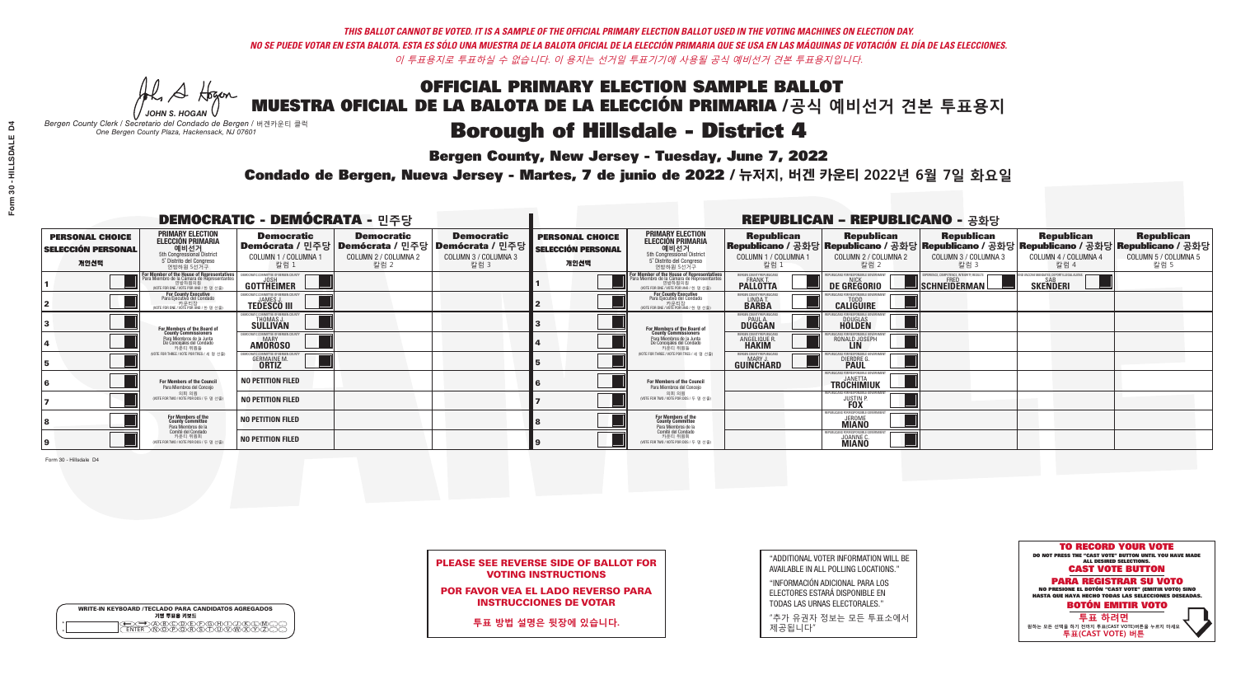A Hogen *JOHN S. HOGAN*

| <b>WRITE-IN KEYBOARD /TECLADO PARA CANDIDATOS AGREGADOS</b><br>기명 투표용 키보드 |  |  |  |  |  |  |  |  |
|---------------------------------------------------------------------------|--|--|--|--|--|--|--|--|
| )<br>BODDEDORD<br>DOROCODOR                                               |  |  |  |  |  |  |  |  |

## **Borough of Hillsdale - District 4**

**Bergen County, New Jersey - Tuesday, June 7, 2022** 

*Bergen County Clerk / Secretario del Condado de Bergen /* 버겐카운티 클럭 *One Bergen County Plaza, Hackensack, NJ 07601*

Condado de Bergen, Nueva Jersey - Martes, 7 de junio de 2022 / 뉴저지, 버겐 카운티 2022년 6월 7일 화요일 *One Bergen County Plaza, Hackensack, NJ 07601*



|                            | <b>PLEASE SEE REVERSE SIDE OF BALLOT FOR</b> |
|----------------------------|----------------------------------------------|
| <b>VOTING INSTRUCTIONS</b> |                                              |

POR FAVOR VEA EL LADO REVERSO PARA INSTRUCCIONES DE VOTAR

**투표 방법 설명은 뒷장에 있습니다.**

"ADDITIONAL VOTER INFORMATION WILL BE AVAILABLE IN ALL POLLING LOCATIONS."

"INFORMACIÓN ADICIONAL PARA LOS ELECTORES ESTARÁ DISPONIBLE EN TODAS LAS URNAS ELECTORALES."

"추가 유권자 정보는 모든 투표소에서 제공됩니다"

| <b>DEMOCRATIC - DEMÓCRATA - 민주당</b>                         |                                                                                                                                             |                                                                     |                                                   |                                                                                                        |                                                             |                                                                                                                                               |                                                               | <b>REPUBLICAN - REPUBLICANO - 공화당</b>                           |                                                                                                                                                |                                                            |                                                   |
|-------------------------------------------------------------|---------------------------------------------------------------------------------------------------------------------------------------------|---------------------------------------------------------------------|---------------------------------------------------|--------------------------------------------------------------------------------------------------------|-------------------------------------------------------------|-----------------------------------------------------------------------------------------------------------------------------------------------|---------------------------------------------------------------|-----------------------------------------------------------------|------------------------------------------------------------------------------------------------------------------------------------------------|------------------------------------------------------------|---------------------------------------------------|
| <b>PERSONAL CHOICE</b><br><b>SELECCIÓN PERSONAL</b><br>개인선택 | <b>PRIMARY ELECTION</b><br><b>ELECCIÓN PRIMARIA</b><br>예비선거<br>5th Congressional District<br>5° Distrito del Congreso<br>연방하원 5선거구          | <b>Democratic</b><br>COLUMN 1 / COLUMNA 1<br>칼럼 :                   | <b>Democratic</b><br>COLUMN 2 / COLUMNA 2<br>칼럼 2 | <b>Democratic</b><br>│Demócrata / 민주당│Demócrata / 민주당│Demócrata / 민주당┃<br>COLUMN 3 / COLUMNA 3<br>칼럼 3 | <b>PERSONAL CHOICE</b><br><b>SELECCIÓN PERSONAL</b><br>개인선택 | <b>PRIMARY ELECTION</b><br>ELECCIÓN PRIMARIA<br>5th Congressional District<br>5° Distrito del Congreso<br>연방하원 5선거구                           | <b>Republican</b><br>COLUMN 1 / COLUMNA 1<br>칼럼               | <b>Republican</b><br>COLUMN 2 / COLUMNA 2<br>칼럼 2               | <b>Republican</b><br>Republicano / 공화당 Republicano / 공화당 Republicano / 공화당 Republicano / 공화당 Republicano / 공화당<br>COLUMN 3 / COLUMNA 3<br>칼럼 3 | <b>Republican</b><br>COLUMN 4 / COLUMNA 4<br>칼럼 4          | <b>Republican</b><br>COLUMN 5 / COLUMNA 5<br>칼럼 5 |
|                                                             | or Member of the House of Representatives<br>ara Miembro de la Cámara de Representantes<br>연방하원의원<br>(VOTE FOR ONE / VOTE POR UNO / 한 명 선출) | GOTTHEIMER                                                          |                                                   |                                                                                                        |                                                             | For Member of the House of Representatives<br>Para Miembro de la Cámara de Representantes<br>연방하원의원<br>(WOTE FOR ONE / VOTE POR UNO / 한 명 선출) | BERGEN COUNTY REPUBLICANS<br>FRANK T.<br><b>PALLOTTA</b>      | DE GREGORIO                                                     | PERIENCE. COMPETENCE. INTEGRITY. RESULTS<br>SCHNEIDERMAN                                                                                       | VACCINE MANDATES, DEPORT ILLEGAL ALIENS<br><b>SKENDERI</b> |                                                   |
|                                                             | <b>For County Executive</b><br>Para Ejecutivo del Condado<br>가운티장<br>(VOTE FOR ONE / VOTE POR UNO / 한 명 선출)                                 | DEMOCRATIC COMMITTEE OF BERGEN COUNTY<br><b>TEDESCO III</b>         |                                                   |                                                                                                        |                                                             | For County Executive<br>Para Ejecutivo del Condado<br>. 카운티장<br>(VOTE FOR ONE / VOTE POR UNO / 한 명 선출)                                        | BERGEN COUNTY REPUBLICAN<br>LINDA T.                          | <b>CALIGUIRE</b>                                                |                                                                                                                                                |                                                            |                                                   |
|                                                             | For Members of the Board of<br>County Commissioners                                                                                         | <b><i>AOCRATIC COMMITTEE OF BERGEN COUNTY</i></b><br>THOMAS J.      |                                                   |                                                                                                        |                                                             | For Members of the Board of<br>County Commissioners                                                                                           | ERGEN COUNTY REPUBLICAN<br><b>PAUL A.</b><br><b>DUGGAN</b>    | <b>DOUGLAS</b>                                                  |                                                                                                                                                |                                                            |                                                   |
|                                                             | Para Miembros de la Junta<br>De Concejales del Condado<br>카우티 위원들                                                                           | RATIC COMMITTEE OF BERGEN COUNTY:<br><b>MARY</b><br><b>AMOROSO</b>  |                                                   |                                                                                                        |                                                             | Para Miembros de la Junta<br>De Concejales del Condado<br>카운티 위원들                                                                             | FRGEN COUNTY REPUBLICAN<br><b>ANGELIQUE F</b><br><b>HAKIM</b> | RONALD JOSEPH                                                   |                                                                                                                                                |                                                            |                                                   |
|                                                             | NOTE FOR THREE / VOTE POR TRES / 세 명 선출)                                                                                                    | RATIC COMMITTEE OF BERGEN COI<br><b>GERMAINE M.</b><br><b>ORTIZ</b> |                                                   |                                                                                                        |                                                             | (VOTE FOR THREE / VOTE POR TRES / 세 명 선출)                                                                                                     | ERGEN COUNTY REPUBLICANS<br>MARY J<br>GUINCHARD               | FOR RESPONSIBLE G<br><b>DIERDRE G</b><br><b>PAUL</b>            |                                                                                                                                                |                                                            |                                                   |
|                                                             | For Members of the Council<br>Para Miembros del Conceio                                                                                     | <b>NO PETITION FILED</b>                                            |                                                   |                                                                                                        |                                                             | For Members of the Council<br>Para Miembros del Conceio                                                                                       |                                                               | PUBLICANS FOR RESPONSIBLE GOVERN<br>TROCHIMIUK                  |                                                                                                                                                |                                                            |                                                   |
|                                                             | 의회 의원<br>(VOTE FOR TWO / VOTE POR DOS / 두 명 선출                                                                                              | <b>NO PETITION FILED</b>                                            |                                                   |                                                                                                        |                                                             | 의회 의원<br>(VOTE FOR TWO / VOTE POR DOS / 두 명 선출)                                                                                               |                                                               | PUBLICANS FOR RESPONSIBLE GOVERNM.<br><b>JUSTIN F</b>           |                                                                                                                                                |                                                            |                                                   |
|                                                             | For Members of the<br>County Committee<br>Para Miembros de la<br>Comité del Condado                                                         | <b>NO PETITION FILED</b>                                            |                                                   |                                                                                                        |                                                             | For Members of the<br>County Committee<br>Para Miembros de la<br>Comité del Condado                                                           |                                                               | FPUBLICANS FOR RESPONSIBLE (<br><b>MIANO</b>                    |                                                                                                                                                |                                                            |                                                   |
|                                                             | 카운티 위원회<br>(VOTE FOR TWO / VOTE POR DOS / 두 명 선출)                                                                                           | <b>NO PETITION FILED</b>                                            |                                                   |                                                                                                        |                                                             | 카운티 위원회<br>NOTE FOR TWO / VOTE POR DOS / 두 명 선출)                                                                                              |                                                               | PUBLICANS FOR RESPONSIBLE G<br><b>JOANNE C.</b><br><b>MIANO</b> |                                                                                                                                                |                                                            |                                                   |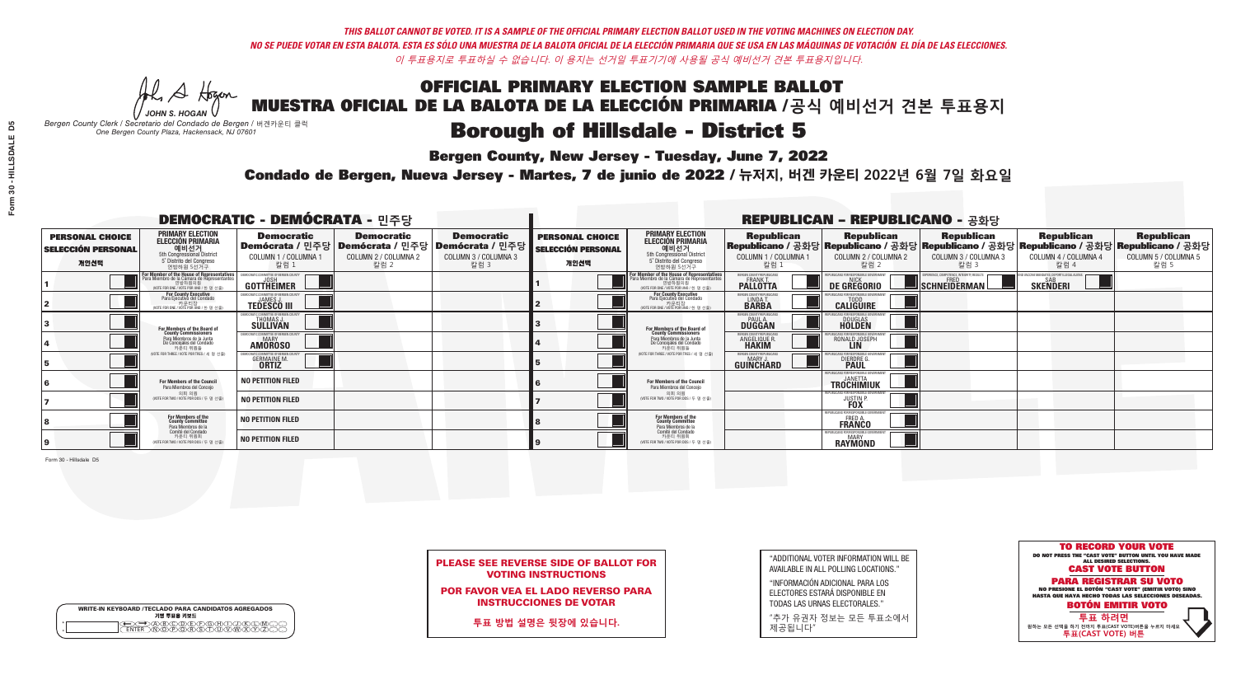A Hogen *JOHN S. HOGAN*

| <b>WRITE-IN KEYBOARD /TECLADO PARA CANDIDATOS AGREGADOS</b><br>기명 투표용 키보드 |  |
|---------------------------------------------------------------------------|--|
| )BUCUDUFUFUGUHU<br><b>®©©©©</b>                                           |  |

# **Borough of Hillsdale - District 5**

**Bergen County, New Jersey - Tuesday, June 7, 2022** 

*Bergen County Clerk / Secretario del Condado de Bergen /* 버겐카운티 클럭 *One Bergen County Plaza, Hackensack, NJ 07601*

Condado de Bergen, Nueva Jersey - Martes, 7 de junio de 2022 / 뉴저지, 버겐 카운티 2022년 6월 7일 화요일 *One Bergen County Plaza, Hackensack, NJ 07601*



PLEASE SEE REVERSE SIDE OF BALLOT FOR VOTING INSTRUCTIONS

POR FAVOR VEA EL LADO REVERSO PARA INSTRUCCIONES DE VOTAR

**투표 방법 설명은 뒷장에 있습니다.**

| "ADDITIONAL VOTER INFORMATION WILL BE |
|---------------------------------------|
| AVAILABLE IN ALL POLLING LOCATIONS."  |

"INFORMACIÓN ADICIONAL PARA LOS ELECTORES ESTARÁ DISPONIBLE EN TODAS LAS URNAS ELECTORALES."

"추가 유권자 정보는 모든 투표소에서 제공됩니다"

| <b>DEMOCRATIC - DEMÓCRATA - 민주당</b>                         |                                                                                                                                                  |                                                                                                        |                                                   |                                                   | <b>REPUBLICAN - REPUBLICANO - 공화당</b>                       |                                                                                                                                               |                                                            |                                                               |                                                                                                                                                |                                                            |                                                   |
|-------------------------------------------------------------|--------------------------------------------------------------------------------------------------------------------------------------------------|--------------------------------------------------------------------------------------------------------|---------------------------------------------------|---------------------------------------------------|-------------------------------------------------------------|-----------------------------------------------------------------------------------------------------------------------------------------------|------------------------------------------------------------|---------------------------------------------------------------|------------------------------------------------------------------------------------------------------------------------------------------------|------------------------------------------------------------|---------------------------------------------------|
| <b>PERSONAL CHOICE</b><br><b>SELECCIÓN PERSONAL</b><br>개인선택 | <b>PRIMARY ELECTION</b><br><b>ELECCIÓN PRIMARIA</b><br>예비선거<br>5th Congressional District<br>5° Distrito del Congreso<br>연방하원 5선거구               | <b>Democratic</b><br>│Demócrata / 민주당│Demócrata / 민주당│Demócrata / 민주당┃<br>COLUMN 1 / COLUMNA 1<br>칼럼 : | <b>Democratic</b><br>COLUMN 2 / COLUMNA 2<br>칼럼 2 | <b>Democratic</b><br>COLUMN 3 / COLUMNA 3<br>칼럼 3 | <b>PERSONAL CHOICE</b><br><b>SELECCIÓN PERSONAL</b><br>개인선택 | <b>PRIMARY ELECTION</b><br>ELECCIÓN PRIMARIA<br>예비선거<br>5th Congressional District<br>5° Distrito del Congreso<br>연방하원 5선거구                   | <b>Republican</b><br>COLUMN 1 / COLUMNA 1<br>칼럼            | <b>Republican</b><br>COLUMN 2 / COLUMNA 2<br>칼럼 2             | <b>Republican</b><br>Republicano / 공화당 Republicano / 공화당 Republicano / 공화당 Republicano / 공화당 Republicano / 공화당<br>COLUMN 3 / COLUMNA 3<br>칼럼 3 | <b>Republican</b><br>COLUMN 4 / COLUMNA 4<br>칼럼 4          | <b>Republican</b><br>COLUMN 5 / COLUMNA 5<br>칼럼 5 |
|                                                             | <b>r Member of the House of Representatives</b><br>ra Miembro de la Cámara de Representantes<br>연방하원의원<br>(VOTE FOR ONE / VOTE POR UNO / 한 명 선출) | GOTTHEIMER                                                                                             |                                                   |                                                   |                                                             | For Member of the House of Representatives<br>Para Miembro de la Cámara de Representantes<br>연방하원의원<br>(VOTE FOR ONE / VOTE POR UNO / 한 명 선출) | BERGEN COUNTY REPUBLICANS<br>FRANK T.<br><b>PALLOTTA</b>   | DE GREGORIO                                                   | PERIENCE, COMPETENCE, INTEGRITY, RESULTS<br>SCHNEIDERMAN                                                                                       | VACCINE MANDATES, DEPORT ILLEGAL ALIENS<br><b>SKENDERI</b> |                                                   |
|                                                             | For County Executive<br>Para Ejecutivo del Condado<br>. 카운티장<br>(VOTE FOR ONE / VOTE POR UNO / 한 명 선출)                                           | )EMOCRATIC COMMITTEE OF BERGEN COUNTY<br><b>TEDESCO III</b>                                            |                                                   |                                                   |                                                             | <b>For County Executive</b><br>Para Ejecutivo del Condado<br>. 카운티장<br>(VOTE FOR ONE / VOTE POR UNO / 한 명 선출)                                 | BERGEN COUNTY REPUBLICAN<br>LINDA T.                       | <b>CALIGUIRE</b>                                              |                                                                                                                                                |                                                            |                                                   |
|                                                             | <b>For Members of the Board of<br/>County Commissioners</b>                                                                                      | MOCRATIC COMMITTEE OF BERGEN COUNTY<br>THOMAS J.                                                       |                                                   |                                                   |                                                             | For Members of the Board of<br>County Commissioners                                                                                           | ERGEN COUNTY REPUBLICAN<br><b>PAUL A.</b><br><b>DUGGAN</b> | <b>DOUGLAS</b>                                                |                                                                                                                                                |                                                            |                                                   |
|                                                             | Para Miembros de la Junta<br>De Concejales del Condado<br>카운티 위원들                                                                                | CRATIC COMMITTEE OF BERGEN COUNTY<br><b>MARY</b><br><b>AMOROSO</b>                                     |                                                   |                                                   |                                                             | Para Miembros de la Junta<br>De Concejales del Condado<br>카우티 위원들<br>(VOTE FOR THREE / VOTE POR TRES / 세 명 선출)                                | <b>RGEN COUNTY REPUBLICAN</b><br><b>ANGELIQUE F</b>        | RONALD JOSEPH                                                 |                                                                                                                                                |                                                            |                                                   |
|                                                             | NOTE FOR THREE / VOTE POR TRES / 세 명 선출)                                                                                                         | RATIC COMMITTEE OF BERGEN COUN<br><b>GERMAINE M.</b><br><b>ORTIZ</b>                                   |                                                   |                                                   |                                                             |                                                                                                                                               | ERGEN COUNTY REPUBLICANS<br><b>MARY J</b><br>GUINCHARD     | <b>DIERDRE G</b><br><b>PAUL</b>                               |                                                                                                                                                |                                                            |                                                   |
|                                                             | For Members of the Council<br>Para Miembros del Conceio<br>의회 의원<br>(VOTE FOR TWO / VOTE POR DOS / 두 명 선출                                        | NO PETITION FILED                                                                                      |                                                   |                                                   |                                                             | For Members of the Council<br>Para Miembros del Conceio                                                                                       |                                                            | PUBLICANS FOR RESPONSIBLE GOVERNM<br><b>TROCHIMIUK</b>        |                                                                                                                                                |                                                            |                                                   |
|                                                             |                                                                                                                                                  | NO PETITION FILED                                                                                      |                                                   |                                                   |                                                             | 의회 의원<br>NOTE FOR TWO / VOTE POR DOS / 두 명 선출)                                                                                                |                                                            | PUBLICANS FOR RESPONSIBI E GOVERNME<br><b>JUSTIN F</b>        |                                                                                                                                                |                                                            |                                                   |
|                                                             | For Members of the<br>County Committee<br>Para Miembros de la<br>Comité del Condado<br>카운티 위원회<br>NOTE FOR TWO / VOTE POR DOS / 두 명 선출)          | <b>NO PETITION FILED</b>                                                                               |                                                   |                                                   |                                                             | For Members of the<br>County Committee<br>Para Miembros de la<br>Comité del Condado                                                           |                                                            | FPUBLICANS FOR RESPONSIBLI<br><b>FRED A.</b><br><b>FRANCO</b> |                                                                                                                                                |                                                            |                                                   |
|                                                             |                                                                                                                                                  | <b>NO PETITION FILED</b>                                                                               |                                                   |                                                   |                                                             | 카운티 위원회<br>(VOTE FOR TWO / VOTE POR DOS / 두 명 선출)                                                                                             |                                                            | PUBLICANS FOR RESPONSIBLE<br><b>MARY</b><br>RAYMOND           |                                                                                                                                                |                                                            |                                                   |